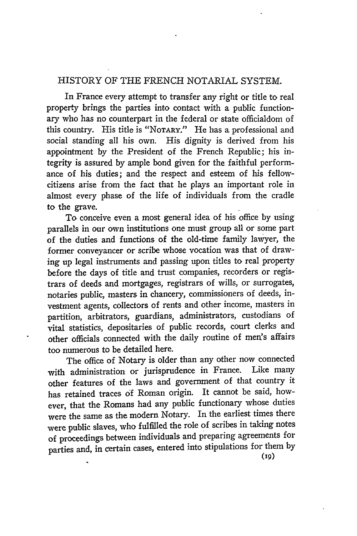## HISTORY OF THE FRENCH NOTARIAL SYSTEM.

In France every attempt to transfer any right or title to real property brings the parties into contact with a public functionary who has no counterpart in the federal or state officialdom of this country. His title is "NOTARY." He has a professional and social standing all his own. His dignity is derived from his appointment by the President of the French Republic; his integrity is assured by ample bond given for the faithful performance of his duties; and the respect and esteem of his fellowcitizens arise from the fact that he plays an important role in almost every phase of the life of individuals from the cradle to the grave.

To conceive even a most general idea of his office by using parallels in our own institutions one must group all or some part of the duties and functions of the old-time family lawyer, the former conveyancer or scribe whose vocation was that of drawing up legal instruments and passing upon titles to real property before the days of title and trust companies, recorders or registrars of deeds and mortgages, registrars of wills, or surrogates, notaries public, masters in chancery, commissioners of deeds, investment agents, collectors of rents and other income, masters in partition, arbitrators, guardians, administrators, custodians of vital statistics, depositaries of public records, court clerks and other officials connected with the daily routine of men's affairs too numerous to be detailed here.

The office of Notary is older than any other now connected with administration or jurisprudence in France. Like many other features of the laws and government of that country it has retained traces **of** Roman origin. It cannot be said, however, that the Romans had any public functionary whose duties were the same as the modern Notary. In the earliest times there were public slaves, who fulfilled the role of scribes in taking notes of proceedings between individuals and preparing agreements for parties and, in certain cases, entered into stipulations for them by **(19)**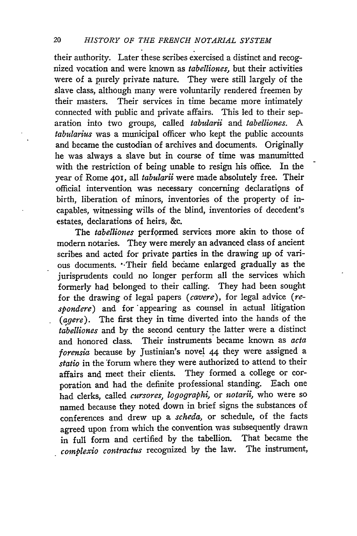their authority. Later these scribes exercised a distinct and recognized vocation and were known as *tabelliones,* but their activities were of a purely private nature. They were still largely of the slave class, although many were voluntarily rendered freemen by their masters. Their services in time became more intimately connected with public and private affairs. This led to their separation into two groups, called *tabularii* and *tabelliones. A tabularius* was a municipal officer who kept the public accounts and became the custodian of archives and documents. Originally he was always a slave but in course of time was manumitted with the restriction of being unable to resign his office. In the year of Rome 401, all *tabularii* were made absolutely free. Their official intervention was necessary concerning declaratigns of birth, liberation of minors, inventories of the property of incapables, witnessing wills of the blind, inventories of decedent's estates, declarations of heirs, &c.

The *tabelliones* performed services more akin to those of modern notaries. They were merely an advanced class of ancient scribes and acted for private parties in the drawing up of various documents. -Their field became enlarged gradually as the jurisprudents could no longer perform all the services which formerly had belonged to their calling. They had been sought for the drawing of legal papers *(cavere),* for legal advice *(respondere)* and for appearing as counsel in actual litigation *(agere).* The first they in time diverted into the hands of the *tabelliones* and by the second century the latter were a distinct and honored class. Their instruments became known as *acta forensia* because by Justinian's novel 44 they were assigned a statio in the forum where they were authorized to attend to their affairs and meet their clients. They formed a college or corporation and had the definite professional standing. Each one had clerks, called *cursores, logographi,* or *notarii,* who were so named because they noted down in brief signs the substances of conferences and drew up a *scheda,* or schedule, of the facts agreed upon from which the convention was subsequently drawn in full form and certified by the tabellion. That became the *complexio contractus* recognized by the law. The instrument,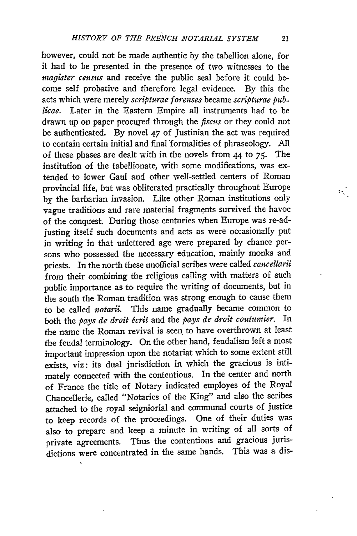however, could not be made authentic by the tabellion alone, for it had to be presented in the presence of two witnesses to the *magister census* and receive the public seal before it could become self probative and therefore legal evidence. By this the acts which were merely *scripturae forenses* became *scripturae publicae.* Later in the Eastern Empire all instruments had to be drawn up on paper procured through the *fiscus* or they could not be authenticated. By novel 47 of Justinian the act was required to contain certain initial and final 'formalities of phraseology. **All** of these phases are dealt with in the novels from 44 to *75.* The institution of the tabellionate, with some modifications, was extended to lower Gaul and other well-settled centers of Roman provincial life, but was obliterated practically throughout Europe by the barbarian invasion. Like other Roman institutions only vague traditions and rare material fragments survived the havoc of the conquest. During those centuries when Europe was re-adjusting itself such documents and acts as were occasionally put in writing in that unlettered age were prepared by chance persons who possessed the necessary education, mainly monks and priests. In the north these unofficial scribes were called *cancellarii* from their combining the religious calling with matters of such public importance as to require the writing of documents, but in the south the Roman tradition was strong enough to cause them to be called *notarii.* This name gradually became common to both the *pays de droit ecrit* and the *pays de droit coutumier.* In the name the Roman revival is seen to have overthrown at least the feudal terminology. On the other hand, feudalism left a most important impression upon the notariat which to some extent still exists, viz: its dual jurisdiction in which the gracious is intimately connected with the contentious. In the center and north of France the title of Notary indicated employes of the Royal Chancellerie, called "Notaries of the King" and also the scribes attached to the royal seigniorial and communal courts of justice to keep records of the proceedings. One of their duties was also to prepare and keep a minute in writing of all sorts of private agreements. Thus the contentious and gracious jurisdictions were concentrated in the same hands. This was a dis-

 $\mathcal{L}(\cdot)$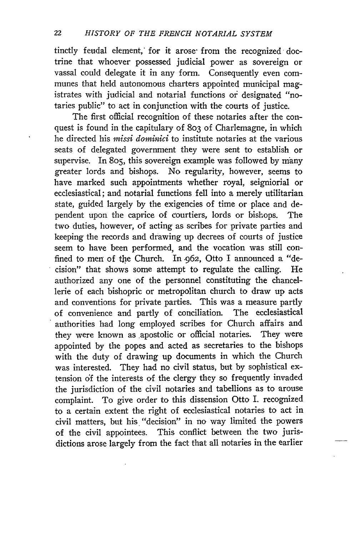tinctly feudal element, for it arose from the recognized doctrine that whoever possessed judicial power as sovereign or vassal could delegate it in any form. Consequently even communes that held autonomous charters appointed municipal magistrates with judicial and notarial functions or' designated "notaries public" to act in conjunction with the courts of justice.

The first official recognition of these notaries after the conquest is found in the capitulary of 803 of Charlemagne, in which he directed his *missi dominici* to institute notaries at the various seats of delegated government they were sent to establish or supervise. In 805, this sovereign example was followed by many greater lords and bishops. No regularity, however, seems to have marked such appointments whether royal, seigniorial or ecclesiastical; and notarial functions fell into a merely utilitarian state, guided largely by the exigencies of time or place and dependent upon the caprice of courtiers, lords or bishops. The two duties, however, of acting as scribes for private parties and keeping the records and drawing up decrees of courts of justice seem to have been performed, and the vocation was still confined to men of the Church. In 962, Otto I announced a "decision" that shows some attempt to regulate the calling. He authorized any one of the personnel constituting the chancellerie of each bishopric or metropolitan church to draw up acts and conventions for private parties. This was a measure partly of convenience and partly of conciliation. The ecclesiastical authorities had long employed scribes for Church affairs and they were known as apostolic or official notaries. They were appointed by the popes and acted as secretaries to the bishops with the duty of drawing up documents in which the Church was interested. They had no civil status, but by sophistical extension *df* the interests of the clergy they so frequently invaded the jurisdiction of the civil notaries and tabellions as to arouse complaint. To give order to this dissension Otto I. recognized to a certain extent the right of ecclesiastical notaries to act in civil matters, but his "decision" in no way limited the powers of the civil appointees. This conflict between the two jurisdictions arose largely from the fact that all notaries in the earlier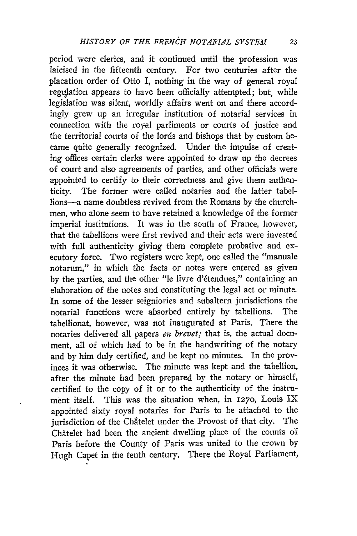period were clerics, and it continued until the profession was laicised in the fifteenth century. For two centuries after the placation order of Otto I, nothing in the way of general royal regulation appears to have been officially attempted; but, while legislation was silent, worldly affairs went on and there accordingly grew up an irregular institution of notarial services in connection with the royal parliments or courts of justice and the territorial courts of the lords and bishops that **by** custom became quite generally recognized. Under the impulse of creating offices certain clerks were appointed to draw up the decrees of court and also agreements of parties, and other officials were appointed to certify to their correctness and give them authenticity. The former were called notaries and the latter tabellions-a name doubtless revived from the Romans **by** the churchmen, who alone seem to have retained a knowledge of the former imperial institutions. It was in the south of France, however, that the tabellions were first revived and their acts were invested with full authenticity giving them complete probative and executory force. Two registers were kept, one called the "manuale notarum," in which the facts or notes were entered as given by the parties, and the other "le livre d'étendues," containing an elaboration of the notes and constituting the legal act or minute. In some of the lesser seigniories and subaltern jurisdictions the notarial functions were absorbed entirely **by** tabellions. The tabellionat, however, was not inaugurated at Paris. There the notaries delivered all papers *en brevet;* that is, the actual document, all of which had to be in the handwriting of the notary and **by** him duly certified, and he kept no minutes. In the provinces it was otherwise. The minute was kept and the tabellion, after the minute had been prepared **by** the notary or himself, certified to the copy of it or to the authenticity of the instrument itself. This was the situation when, in **127o,** Louis IX appointed sixty royal notaries for Paris to be attached to the jurisdiction of the Chatelet under the Provost of that city. The Chatelet had been the ancient dwelling place of the counts of Paris before the County of Paris was united to the crown **by** Hugh Capet in the tenth century. There the Royal Parliament,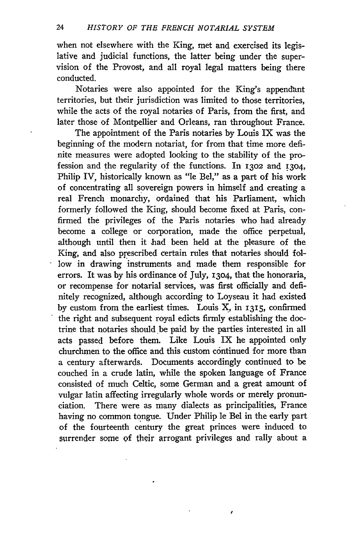when not elsewhere with the King, met and exercised its legislative and judicial functions, the latter being under the supervision of the Provost, and all royal legal matters being there conducted.

Notaries were also appointed for the King's appendant territories, but their jurisdiction was limited to those territories, while the acts of the royal notaries of Paris, from the first, and later those of Montpellier and Orleans, ran throughout France.

The appointment of the Paris notaries by Louis IX was the beginning of the modern notariat, for from that time more definite measures were adopted looking to the stability of the profession and the regularity of the functions. In 13o2 and 1304, Philip IV, historically known as "le Bel," as a part of his work of concentrating all sovereign powers in himself and creating a real French monarchy, ordained that his Parliament, which formerly followed the King, should become fixed at Paris, confirmed the privileges of the Paris notaries who had already become a college or corporation, made the office perpetual, although until then it had been held at the pleasure of the King, and also prescribed certain rules that notaries should follow in drawing instruments and made them responsible for errors. It was by his ordinance of July, 1304, that the honoraria, or recompense for notarial services, was first officially and definitely recognized, although according to Loyseau it had existed by custom from the earliest times. Louis *X,* in 1315, confirmed the right and subsequent royal edicts firmly establishing the doctrine that notaries should be paid by the parties interested in all acts passed before them. Like Louis IX he appointed only churchmen to the office and this custom continued for more than a century afterwards. Documents accordingly continued to be couched in a crude latin, while the spoken language of France consisted of much Celtic, some German and a great amount of vulgar latin affecting irregularly whole words or merely pronunciation. There were as many dialects as principalities, France having no common tongue. Under Philip le Bel in the early part of the fourteenth century the great princes were induced to surrender some of their arrogant privileges and rally about a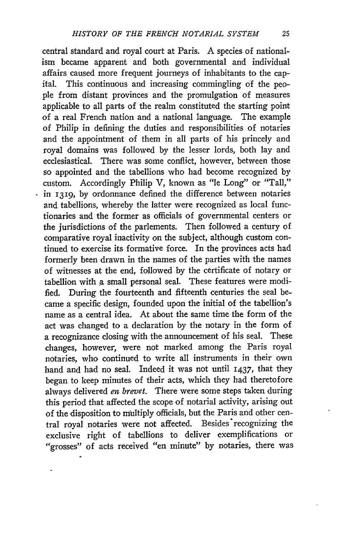central standard and royal court at Paris. A species of nationalism became apparent and both governmental and individual affairs caused more frequent journeys of inhabitants to the capital. This continuous and increasing commingling of the people from distant provinces and the promulgation of measures applicable to all parts of the realm constituted the starting point of a real French nation and a national language. The example of Philip in defining the duties and responsibilities of notaries and the appointment of them in all parts of his princely and royal domains was followed by the lesser lords, both lay and ecclesiastical. There was some conflict, however, between those so appointed and the tabellions who had become recognized by custom. Accordingly Philip V, known as "le Long" or "Tall," in **13i9,** by ordonnance defined the difference between notaries and tabellions, whereby the latter were recognized as local functionaries and the former as officials of governmental centers or the jurisdictions of the parlements. Then followed a century of comparative royal inactivity on the subject, although custom continued to exercise its formative force. In the provinces acts had formerly been drawn in the names of the parties with the names of witnesses at the end, followed by the certificate of notary or tabellion with a small personal seal. These features were modified. During the fourteenth and fifteenth centuries the seal became a specific design, founded upon the initial of the tabellion's name as a central idea. At about the same time the form of the act was changed to a declaration by the notary in the form of a recognizance closing with the announcement of his seal. These changes, however, were not marked among the Paris royal notaries, who continued to write all instruments in their own hand and had no seal. Indeed it was not until 1437, that they began to keep minutes of their acts, which they had theretofore always delivered en brevet. There were some steps taken during this period that affected the scope of notarial activity, arising out of the disposition to multiply officials, but the Paris and other central royal notaries were not affected. Besides'recognizing the exclusive right of tabellions to deliver exemplifications or "grosses" of acts received "en minute" by notaries, there was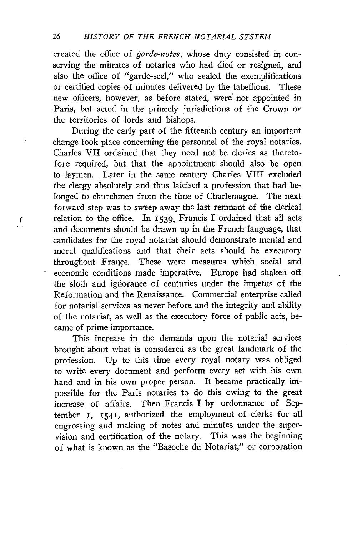created the office of *garde-notes,* whose duty consisted in conserving the minutes of notaries who had died or resigned, and also the office of "garde-scel," who sealed the exemplifications or certified copies of minutes delivered by the tabellions. These new officers, however, as before stated, were' not appointed in Paris, but acted in the princely jurisdictions of the Crown or the territories of lords and bishops.

During the early part of the fifteenth century an important change took place concerning the personnel of the royal notaries. Charles VII ordained that they need not be clerics as theretofore required, but that the appointment should also be open to laymen.. Later in the same century Charles VIII excluded the clergy absolutely and thus laicised a profession that had belonged to churchmen from the time of Charlemagne. The next forward step was to sweep away the last remnant of the clerical relation to the office. In 1539, Francis I ordained that all acts and documents should be drawn up in the French language, that candidates for the royal notariat should demonstrate mental and moral qualifications and that their acts should be executory throughout Frarce. These were measures which social and economic conditions made imperative. Europe had shaken off the sloth and igriorance of centuries under the impetus of the Reformation and the Renaissance. Commercial enterprise called for notarial services as never before and the integrity and ability of the notariat, as well as the executory force of public acts, became of prime importance.

 $\int$ 

This increase in the demands upon the notarial services brought about what is considered as the great landmark of the profession. Up to this time every 'royal notary was obliged to write every document and perform every act with his own hand and in his own proper person. It became practically impossible for the Paris notaries to do this owing to the great increase of affairs. Then Francis I by ordonnance of September 1, **1541,** authorized the employment of clerks for all engrossing and making of notes and minutes under the supervision and certification of the notary. This was the beginning of what is known as the "Basoche du Notariat," or corporation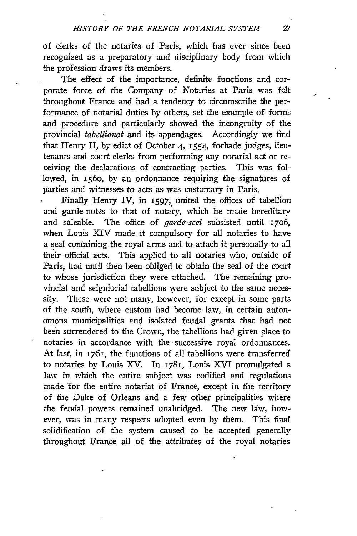of clerks of the notaries of Paris, which has ever since been recognized as a preparatory and disciplinary body from which the profession draws its members.

The effect of the importance, definite functions and corporate force of the Company of Notaries at Paris was felt throughout France and had a tendency to circumscribe the performance of notarial duties by others, set the example of forms and procedure and particularly showed the incongruity of the provincial *tabellionat* and its appendages. Accordingly we find that Henry II, by edict of October 4, 1554, forbade judges, lieutenants and court clerks from performing any notarial act or receiving the declarations of contracting parties. This was followed, in 1560, by an ordonnance requiring the signatures of parties and witnesses to acts as was customary in Paris.

Finally Henry IV, in 1597, united the offices of tabellion and garde-notes to that of notary, which he made hereditary and saleable. The office of *garde-scel* subsisted until i7o6, when Louis XIV made it compulsory for all notaries to have a seal containing the royal arms and to attach it personally to all their official acts. This applied to all notaries who, outside of Paris, had until then been obliged to obtain the seal of the court to whose jurisdiction they were attached. The remaining provincial and seigniorial tabellions were subject to the same necessity. These were not many, however, for except in some parts of the south, where custom had become law, in certain autonomous municipalities and isolated feudal grants that had not been surrendered to the Crown, the tabellions had given place to notaries in accordance with the successive royal ordonnances. At last, in **1761,** the functions of all tabellions were transferred to notaries by Louis XV. In **1781,** Louis XVI promulgated a law in which the entire subject was codified and regulations made 'for the entire notariat of France, except in the territory of the Duke of Orleans and a few other principalities where the feudal powers remained unabridged. The new law, however, was in many respects adopted even by them. This final solidification of the system caused to be accepted generally throughout France all of the attributes of the royal notaries

27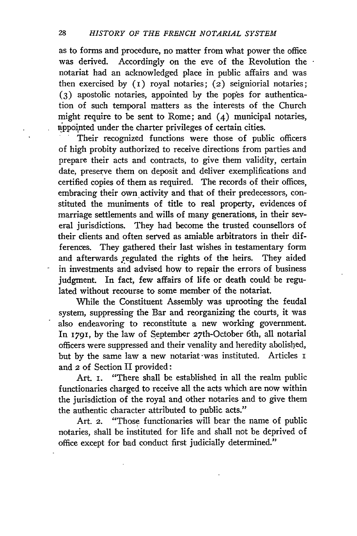as to forms and procedure, no matter from what power the office was derived. Accordingly on the eve of the Revolution the . notariat had an acknowledged place in public affairs and was then exercised by  $(1)$  royal notaries;  $(2)$  seigniorial notaries; (3) apostolic notaries, appointed by the popes for authentication of such temporal matters as the interests of the Church might require to be sent to Rome; and (4) municipal notaries, nppointed under the charter privileges of certain cities.

Their recognized functions were those of public officers of high probity authorized to receive directions from parties and prepare their acts and contracts, to give them validity, certain date, preserve them on deposit and deliver exemplifications and certified copies of them as required. The records of their offices, embracing their own activity and that of their predecessors, constituted the muniments of title to real property, evidences of marriage settlements and wills of many generations, in their several jurisdictions. They had become the trusted counsellors of their clients and often served as amiable arbitrators in their differences. They gathered their last wishes in testamentary form and afterwards regulated the rights of the heirs. They aided in investments and advised how to repair the errors of business judgment. In fact, few affairs of life or death could be regulated without recourse to some member of the notariat.

While the Constituent Assembly was uprooting the feudal system, suppressing the Bar and reorganizing the courts, it was also endeavoring to reconstitute a new working government. In **I79I,** by the law of September 27th-October 6th, all notarial officers were suppressed and their venality and heredity abolished, but by the same law a new notariat was instituted. Articles I and **:2** of Section II provided:

Art. i. "There shall be established in all the realm public functionaries charged to receive all the acts which are now within the jurisdiction of the royal and other notaries and to give them the authentic character attributed to public acts."

Art. 2. "Those functionaries will bear the name of public notaries, shall be instituted for life and shall not be deprived of office except for bad conduct first judicially determined."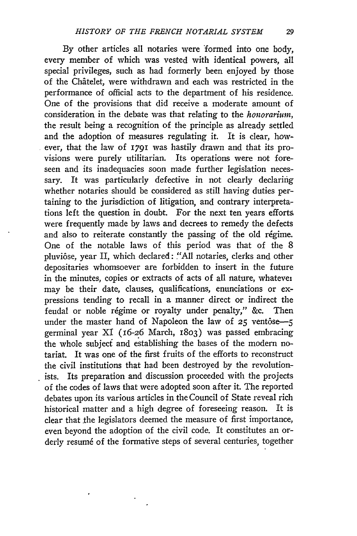By other articles all notaries were 'formed into one body, every member of which was vested with identical powers, all special privileges, such as had formerly been enjoyed by those of the Châtelet, were withdrawn and each was restricted in the performance of official acts to the department of his residence. One of the provisions that did receive a moderate amount of consideration in the debate was that relating to the *honorarium,* the result being a recognition of the principle as already settled and the adoption of measures regulating it. It is clear, however, that the law of **1791** was hastily drawn and that its provisions were purely utilitarian. Its operations were not foreseen and its inadequacies soon made further legislation necessary. It was particularly defective in not clearly declaring whether notaries should be considered as still having duties pertaining to the jurisdiction of litigation, and contrary interpretations left the question in doubt. For the next ten years efforts were frequently made by laws and decrees to remedy the defects and also to reiterate constantly the passing of the old regime. One of the notable laws of this period was that of the 8 pluvi6se, year II, which declared: "All notaries, clerks and other depositaries whomsoever are forbidden to insert in the future in the minutes, copies or extracts of acts of all nature, whatever may be their date, clauses, qualifications, enunciations or expressions tending to recall in a manner direct or indirect the feudal or noble régime or royalty under penalty," &c. Then under the master hand of Napoleon the law of 25 ventôse-5 germinal year XI (16-26 March, **1803)** was passed embracing the whole subject and establishing the bases of the modem notariat. It was one of the first fruits of the efforts to reconstruct the civil institutions that had been destroyed by the revolutionists. Its preparation and discussion proceeded with the projects of the codes of laws that were adopted soon after it. The reported debates upon its various articles in the Council of State reveal rich historical matter and a high degree of foreseeing reason. It is clear that the legislators deemed the measure of first importance, even beyond the adoption of the civil code. It constitutes an orderly resumé of the formative steps of several centuries, together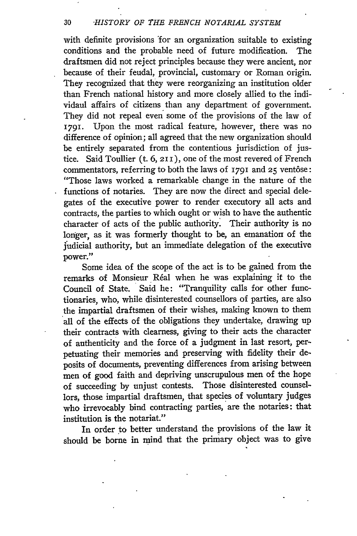## **30** *HISTORY OF THE FRENCH NOTARIAL SYSTEM*

with definite provisions 'for an organization suitable to existing conditions and the probable need of future modification. The draftsmen did not reject principles because they were ancient, nor because of their feudal, provincial, customary or Roman origin. They recognized that they were reorganizing an institution older than French national history and more closely allied to the individaul affairs of citizens than any department of government. They did not repeal even some of the provisions of the law of **1791.** Upon the most radical feature, however, there was no difference of opinion; all agreed that the new organization should be entirely separated from the contentious jurisdiction of justice. Said Toullier (t. 6, 211), one of the most revered of French commentators, referring to both the laws of **1791** and **25** vent6se: "Those laws worked a remarkable change in the nature of the functions of notaries. They are now the direct and special delegates of the executive power to render executory all acts and contracts, the parties to which ought or wish to have the authentic character of acts of the public authority. Their authority is no longer, as it was formerly thought to be, an emanation of the judicial authority, but an immediate delegation of the executive power."

Some idea of the scope of the act is to be gained from the remarks of Monsieur Real when he was explaining it to the Council of State. Said he: "Tranquility calls for other functionaries, who, while disinterested counsellors of parties, are also the impartial draftsmen of their wishes, making known to them all of the effects of the obligations they undertake, drawing up their contracts with clearness, giving to their acts the character of authenticity and the force of a judgment in last resort, perpetuating their memories and preserving with fidelity their deposits of documents, preventing differences from arising between men of good faith and depriving unscrupulous men of the hope of succeeding by unjust contests. Those disinterested counsellors, those impartial draftsmen, that species of voluntary judges who irrevocably bind contracting parties, are the notaries: that institution is the notariat."

In order to better understand the provisions of the law it should be borne in mind that the primary object was to give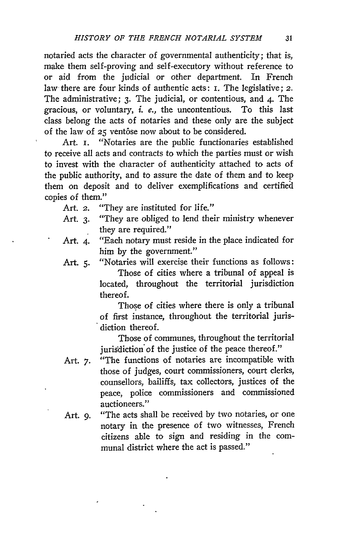notaried acts the character of governmental authenticity; that is, make them self-proving and self-executory without reference to or aid from the judicial or other department. In French law there are four kinds of authentic acts: I. The legislative; 2. The administrative; **3.** The judicial, or contentious, and 4. The gracious, or voluntary, *i.* e., the uncontentious. To this last class belong the acts of notaries and these only are the subject of the law of **25** vent6se now about to be considered.

Art. i. "Notaries are the public functionaries established to receive all acts and contracts to which the parties must or wish to invest with the character of authenticity attached to acts of the public authority, and to assure the date of them and to keep them on deposit and to deliver exemplifications and certified copies of them."

- Art. 2. "They are instituted for life."
- Art. 3. "They are obliged to lend their ministry whenever they are required."
- Art. 4. "Each notary must reside in the place indicated for him by the government."
- Art. *5.* "Notaries will exercise their functions as follows:

Those of cities where a tribunal of appeal is located, throughout the territorial jurisdiction thereof.

Those of cities where there is only a tribunal of first instance, throughout the territorial jurisdiction thereof.

Those of communes, throughout the territorial jurisdiction of the justice of the peace thereof."

- 
- Art. **7.** "The functions of notaries are incompatible with those of judges, court commissioners, court clerks, counsellors, bailiffs, tax collectors, justices of the peace, police commissioners and commissioned auctioneers."
- Art. 9. "The acts shall be received by two notaries, or one notary in the presence of two witnesses, French citizens able to sign and residing in the communal district where the act is passed."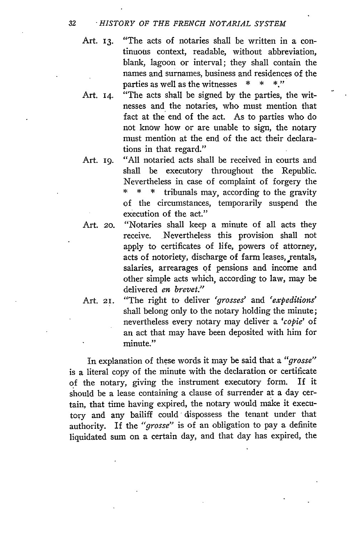## **<sup>32</sup>***-HISTORY OF THE FRENCH NOTARIAL SYSTEM*

- Art. **13.** "The acts of notaries shall be written in a continuous context, readable, without abbreviation, blank, lagoon or interval; they shall contain the names and surnames, business and residences of the parties as well as the witnesses **\* \* \*."**
- Art. 14. "The acts shall be signed by the parties, the witnesses and the notaries, who must mention that fact at the end of the act. As to parties who do not know how or are unable to sign, the notary must mention at the end of the act their declarations in that regard."
- Art. **19.** "All notaried acts shall be received in courts and shall be executory throughout the Republic. Nevertheless in case of complaint of forgery the *\** **\* \*** tribunals may, according to the gravity of the circumstances, temporarily suspend the execution of the act."
- Art. 2o. "Notaries shall keep a minute of all acts they receive. Nevertheless this provision shall not apply to certificates of life, powers of attorney, acts of notoriety, discharge of farm leases, rentals, salaries, arrearages of pensions and income and other simple acts which, according to law, may be delivered *en brevet."*
- Art. *21.* "The right to deliver *'grosses'* and *"expeditions'* shall belong only to the notary holding the minute; nevertheless every notary may deliver a *'copie'* of an act that may have been deposited with him for minute."

In explanation of these words it may be said that a *"grosse"* is a literal copy of the minute with the declaration or certificate of the notary, giving the instrument executory form. If it should be a lease containing a clause of surrender at a day certain, that time having expired, the notary would make it executory and any bailiff could dispossess the tenant under that authority. If the *"grosse"* is of an obligation to pay a definite liquidated sum on a certain day, and that day has expired, the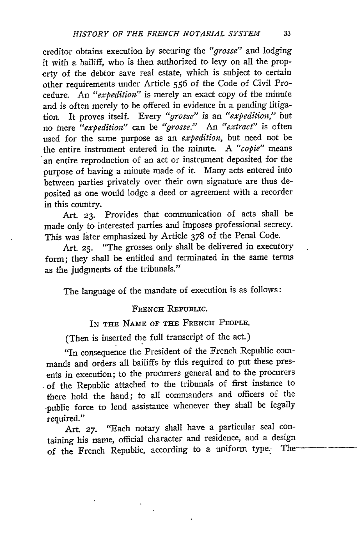creditor obtains execution by securing the *"grosse"* and lodging it with a bailiff, who is then authorized to levy on all the property of the debtor save real estate, which is subject to certain other requirements under Article 556 of the Code of Civil Procedure. An "*expedition*" is merely an exact copy of the minute and is often merely to be offered in evidence in a pending litigation. It proves itself. Every *"grosse"* is an *"expedition,"* but no inere *"expedition"* can be *"grosse."* An *"extract"* is often used for the same purpose as an *expedition,* but need not be the entire instrument entered in the minute. A *"copie"* means an entire reproduction of an act or instrument deposited for the purpose of having a minute made of it. Many acts entered into between parties privately over their own signature are thus deposited as one would lodge a deed or agreement with a recorder in this country.

Art. **23.** Provides that communication of acts shall be made only to interested parties and imposes professional secrecy. This was later emphasized by Article 378 of the Penal Code.

Art. **25.** "The grosses only shall be delivered in executory form; they shall be entitled and terminated in the same terms as the judgments of the tribunals."

The language of the mandate of execution is as follows:

FRENCH REPUBLIC.

IN THE NAME OF THE FRENCH PEOPLE.

(Then is inserted the full transcript of the act.)

"In consequence the President of the French Republic commands and orders all bailiffs by this required to put these presents in execution; to the procurers general and to the procurers . of the Republic attached to the tribunals of first instance to there hold the hand; to all commanders and officers of the -public force to lend assistance whenever they shall be legally required."

Art. **27.** "Each notary shall have a particular seal containing his name, official character and residence, and a design of the French Republic, according to a uniform type. The-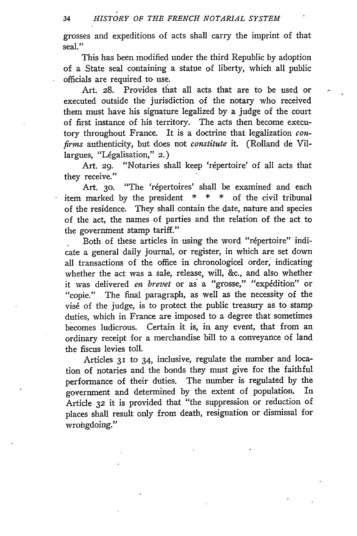grosses and expeditions of acts shall carry the imprint of that seal."

This has been modified under the third Republic **by** adoption of a State seal containing a statue of liberty, which all public officials are required to use.

Art. 28. Provides that all acts that are to be used or executed outside the jurisdiction **of** the notary who received them must have his signature legalized **by** a judge of the court of first instance of his territory. The acts then become executory throughout France. It is a doctrine that legalization *confirms* authenticity, but does not *constitute* it. (Rolland de Villargues, "Légalisation," 2.)

Art. 29. **"Notaries shall keep 'répertoire' of all acts that** they receive."

Art. 30. "The 'répertoires' shall be examined and each item marked **by** the president **\* \* \*** of the civil tribunal of the residence. They shall contain the date, nature and species of the act, the names of parties and the relation of the act to the government stamp tariff."

Both of these articles in using the word "répertoire" indicate a general daily journal, or register, in which are set down all transactions of the office in chronologicel order, indicating whether the act was a sale, release, will, &c., and also whether it was delivered *en brevet* or as a "grosse," "expédition" or "copie." The final paragraph, as well as the necessity of the vis6 of the judge, is to protect the public treasury as to stamp duties, which in France are imposed to a degree that sometimes becomes ludicrous. Certain it is, in any event, that from an ordinary receipt for a merchandise bill to a conveyance of land the fiscus levies toll.

Articles **31** to 34, inclusive, regulate the number and location of notaries and the bonds they must give for the faithful performance of their duties. The number is regulated **by** the government and determined **by** the extent of population. In Article **32** it is provided that "the suppression or reduction of places shall result only from death, resignation or dismissal for wrongdoing."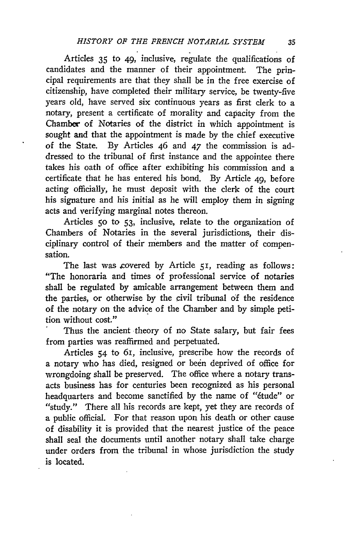Articles 35 to 49, inclusive, regulate the qualifications of candidates and the manner of their appointment. The principal requirements are that they shall be in the free exercise of citizenship, have completed their military service, be twenty-five years old, have served six continuous years as first clerk to a notary, present a certificate of morality and capacity from the Chamber of Notaries of the district in which appointment is sought and that the appointment is made by the chief executive of the State. By Articles 46 and 47 the commission is addressed to the tribunal of first instance and the appointee there takes his oath of office after exhibiting his commission and a certificate that he has entered his bond. By Article 49, before acting officially, he must deposit with the clerk of the court his signature and his initial as he will employ them in signing acts and verifying marginal notes thereon.

Articles **50** to 53, inclusive, relate to the organization of Chambers of Notaries in the several jurisdictions, their disciplinary control of their members and the matter of compensation.

The last was covered by Article **51,** reading as follows: "The honoraria and times of professional service of notaries shall be regulated by amicable arrangement between them and the parties, or otherwise by the civil tribunal of the residence of the notary on the advice of the Chamber and by simple petition without cost."

Thus the ancient theory of no State salary, but fair fees from parties was reaffirmed and perpetuated.

Articles 54 to 61, inclusive, prescribe how the records of a notary who has died, resigned or been deprived of office for wrongdoing shall be preserved. The office where a notary transacts business has for centuries been recognized as his personal headquarters and become sanctified by the name of "6tude" or "study." There all his records are kept, yet they are records of a public official. For that reason upon his death or other cause of disability it is provided that the nearest justice of the peace shall seal the documents until another notary shall take charge under orders from the tribunal in whose jurisdiction the study is located.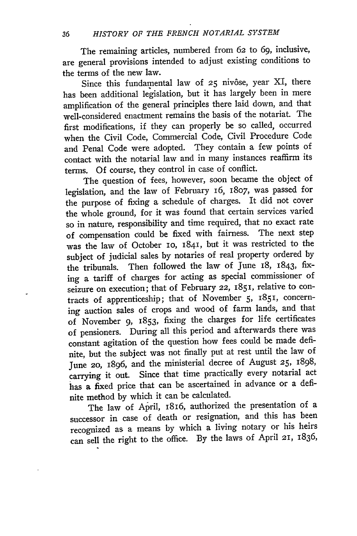The remaining articles, numbered from 62 to 69, inclusive, are general provisions intended to adjust existing conditions to the terms of the new law.

Since this fundamental law of **25** niv6se, year XI, there has been additional legislation, but it has largely been in mere amplification of the general principles there laid down, and that well-considered enactment remains the basis of the notariat. The first modifications, if they can properly be so called, occurred when the Civil Code, Commercial Code, Civil Procedure Code and Penal Code were adopted. They contain a few points of contact with the notarial law and in many instances reaffirm its terms. Of course, they control in case of conflict.

The question of fees, however, soon became the object of legislation, and the law of February 16, 1807, was passed for the purpose of fixing a schedule of charges. It did not cover the whole ground, for it was found that certain services varied so in nature, responsibility and time required, that no exact rate of compensation could be fixed with fairness. The next step was the law of October io, **1841,** but it was restricted to the subject of judicial sales by notaries of real property ordered by the tribunals. Then followed the law of June i8, 1843, fixing a tariff of charges for acting as special commissioner of seizure on execution; that of February **22, 1851,** relative to contracts of apprenticeship; that of November 5, 1851, concerning auction sales of crops and wood of farm lands, and that of November 9, 1853, fixing the charges for life certificates of pensioners. During all this period and afterwards there was constant agitation of the question how fees could be made definite, but the subject was not finally put at rest until the law of June 2o, 1896, and the ministerial decree of August **25,** 1898, carrying it out. Since that time practically every notarial act has a fixed price that can be ascertained in advance or a definite method by which it can be calculated.

The law of April, i816, authorized the presentation of a successor in case of death or resignation, and this has been recognized as a means by which a living notary or his heirs can sell the right to the office. By the laws of April **21,** 1836,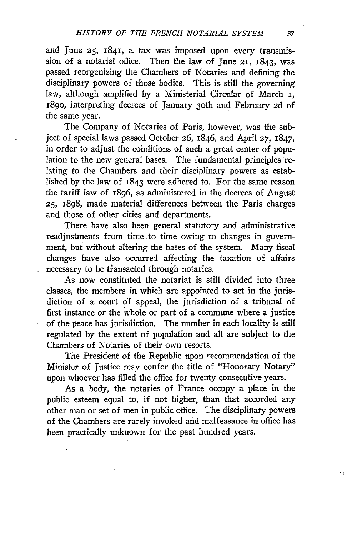and June *25,* 1841, a tax was imposed upon every transmission of a notarial office. Then the law of June 21, 1843, was passed reorganizing the Chambers of Notaries and defining the disciplinary powers of those bodies. This is still the governing law, although amplified **by** a Ministerial Circular of March i, **189o,** interpreting decrees of January 3oth and February 2d of the same year.

The Company of Notaries of Paris, however, was the subject of special laws passed October *26,* 1846, and April *27,* 1847, in order to adjust the cohditions of such a great center of population to the new general bases. The fundamental principles'relating to the Chambers and their disciplinary powers as established **by** the law of 1843 were adhered to. For the same reason the tariff law of 1896, as administered in the decrees of August *25,* 1898, made material differences between the Paris charges and those of other cities and departments.

There have also been general statutory and administrative readjustments from time -to time owing to changes in government, but without altering the bases of the system. Many fiscal changes have also occurred affecting the taxation of affairs necessary to be tiansacted through notaries.

As now constituted the notariat is still divided into three classes, the members in which are appointed to act in the jurisdiction of a court of appeal, the jurisdiction of a tribunal of first instance or the whole or part of a commune where a justice of the peace has jurisdiction. The number in each locality is still regulated **by** the extent of population and all are subject to the Chambers of Notaries of their own resorts.

The President of the Republic upon recommendation of the Minister of Justice may confer the title of "Honorary Notary" upon whoever has filled the office for twenty consecutive years.

As a body, the notaries of France occupy a place in the public esteem equal to, if not higher, than that accorded any other man or set of men in public office. The disciplinary powers of the Chambers are rarely invoked and malfeasance in office has been practically unknown for the past hundred years.

k,